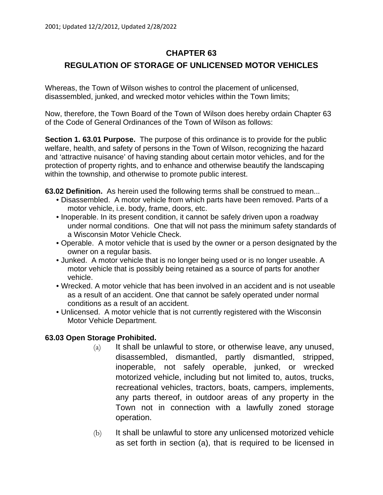## **CHAPTER 63**

## **REGULATION OF STORAGE OF UNLICENSED MOTOR VEHICLES**

Whereas, the Town of Wilson wishes to control the placement of unlicensed, disassembled, junked, and wrecked motor vehicles within the Town limits;

Now, therefore, the Town Board of the Town of Wilson does hereby ordain Chapter 63 of the Code of General Ordinances of the Town of Wilson as follows:

**Section 1. 63.01 Purpose.** The purpose of this ordinance is to provide for the public welfare, health, and safety of persons in the Town of Wilson, recognizing the hazard and 'attractive nuisance' of having standing about certain motor vehicles, and for the protection of property rights, and to enhance and otherwise beautify the landscaping within the township, and otherwise to promote public interest.

**63.02 Definition.** As herein used the following terms shall be construed to mean...

- Disassembled. A motor vehicle from which parts have been removed. Parts of a motor vehicle, i.e. body, frame, doors, etc.
- Inoperable. In its present condition, it cannot be safely driven upon a roadway under normal conditions. One that will not pass the minimum safety standards of a Wisconsin Motor Vehicle Check.
- Operable. A motor vehicle that is used by the owner or a person designated by the owner on a regular basis.
- Junked. A motor vehicle that is no longer being used or is no longer useable. A motor vehicle that is possibly being retained as a source of parts for another vehicle.
- Wrecked. A motor vehicle that has been involved in an accident and is not useable as a result of an accident. One that cannot be safely operated under normal conditions as a result of an accident.
- Unlicensed. A motor vehicle that is not currently registered with the Wisconsin Motor Vehicle Department.

## **63.03 Open Storage Prohibited.**

- $(a)$  It shall be unlawful to store, or otherwise leave, any unused, disassembled, dismantled, partly dismantled, stripped, inoperable, not safely operable, junked, or wrecked motorized vehicle, including but not limited to, autos, trucks, recreational vehicles, tractors, boats, campers, implements, any parts thereof, in outdoor areas of any property in the Town not in connection with a lawfully zoned storage operation.
- (b) It shall be unlawful to store any unlicensed motorized vehicle as set forth in section (a), that is required to be licensed in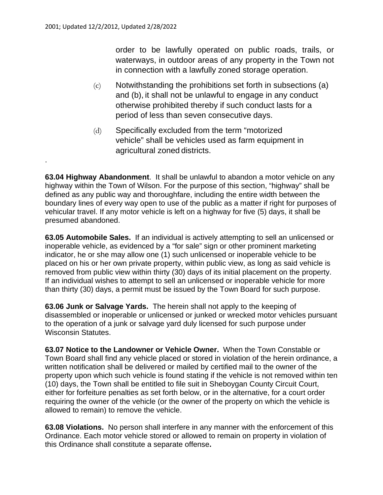.

order to be lawfully operated on public roads, trails, or waterways, in outdoor areas of any property in the Town not in connection with a lawfully zoned storage operation.

- (c) Notwithstanding the prohibitions set forth in subsections (a) and (b), it shall not be unlawful to engage in any conduct otherwise prohibited thereby if such conduct lasts for a period of less than seven consecutive days.
- (d) Specifically excluded from the term "motorized vehicle" shall be vehicles used as farm equipment in agricultural zoned districts.

**63.04 Highway Abandonment**. It shall be unlawful to abandon a motor vehicle on any highway within the Town of Wilson. For the purpose of this section, "highway" shall be defined as any public way and thoroughfare, including the entire width between the boundary lines of every way open to use of the public as a matter if right for purposes of vehicular travel. If any motor vehicle is left on a highway for five (5) days, it shall be presumed abandoned.

**63.05 Automobile Sales.** If an individual is actively attempting to sell an unlicensed or inoperable vehicle, as evidenced by a "for sale" sign or other prominent marketing indicator, he or she may allow one (1) such unlicensed or inoperable vehicle to be placed on his or her own private property, within public view, as long as said vehicle is removed from public view within thirty (30) days of its initial placement on the property. If an individual wishes to attempt to sell an unlicensed or inoperable vehicle for more than thirty (30) days, a permit must be issued by the Town Board for such purpose.

**63.06 Junk or Salvage Yards.** The herein shall not apply to the keeping of disassembled or inoperable or unlicensed or junked or wrecked motor vehicles pursuant to the operation of a junk or salvage yard duly licensed for such purpose under Wisconsin Statutes.

**63.07 Notice to the Landowner or Vehicle Owner.** When the Town Constable or Town Board shall find any vehicle placed or stored in violation of the herein ordinance, a written notification shall be delivered or mailed by certified mail to the owner of the property upon which such vehicle is found stating if the vehicle is not removed within ten (10) days, the Town shall be entitled to file suit in Sheboygan County Circuit Court, either for forfeiture penalties as set forth below, or in the alternative, for a court order requiring the owner of the vehicle (or the owner of the property on which the vehicle is allowed to remain) to remove the vehicle.

**63.08 Violations.** No person shall interfere in any manner with the enforcement of this Ordinance. Each motor vehicle stored or allowed to remain on property in violation of this Ordinance shall constitute a separate offense**.**